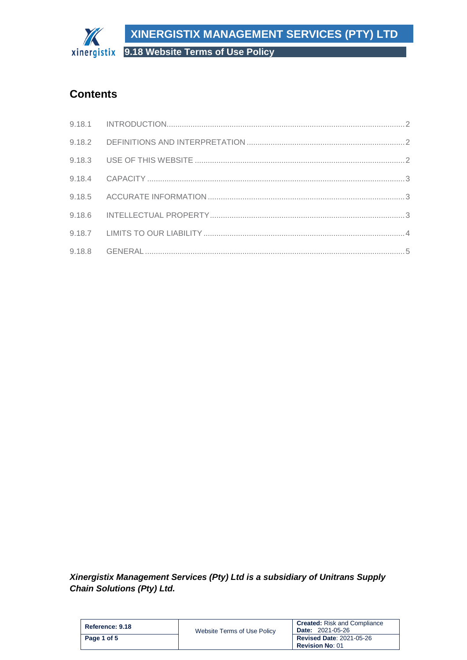**XINERGISTIX MANAGEMENT SERVICES (PTY) LTD**

**9.18 Website Terms of Use Policy**

# **Contents**

The

*Xinergistix Management Services (Pty) Ltd is a subsidiary of Unitrans Supply Chain Solutions (Pty) Ltd.*

| Reference: 9.18 | Website Terms of Use Policy | <b>Created:</b> Risk and Compliance<br><b>Date: 2021-05-26</b> |
|-----------------|-----------------------------|----------------------------------------------------------------|
| Page 1 of 5     |                             | <b>Revised Date: 2021-05-26</b><br><b>Revision No: 01</b>      |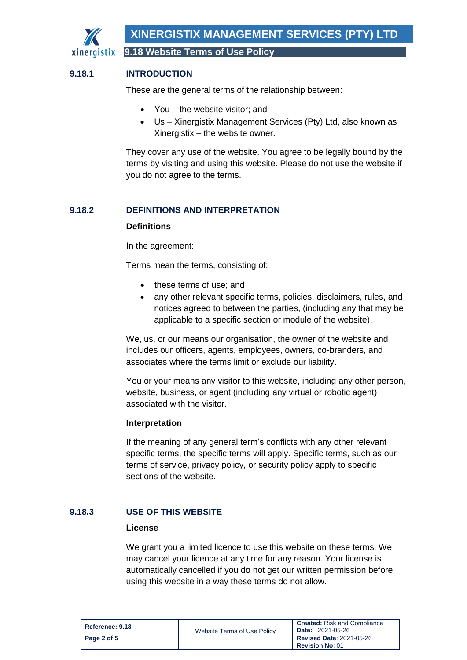

# <span id="page-1-0"></span>**9.18.1 INTRODUCTION**

These are the general terms of the relationship between:

- You the website visitor: and
- Us Xinergistix Management Services (Pty) Ltd, also known as Xinergistix – the website owner.

They cover any use of the website. You agree to be legally bound by the terms by visiting and using this website. Please do not use the website if you do not agree to the terms.

## <span id="page-1-1"></span>**9.18.2 DEFINITIONS AND INTERPRETATION**

#### **Definitions**

In the agreement:

Terms mean the terms, consisting of:

- these terms of use; and
- any other relevant specific terms, policies, disclaimers, rules, and notices agreed to between the parties, (including any that may be applicable to a specific section or module of the website).

We, us, or our means our organisation, the owner of the website and includes our officers, agents, employees, owners, co-branders, and associates where the terms limit or exclude our liability.

You or your means any visitor to this website, including any other person, website, business, or agent (including any virtual or robotic agent) associated with the visitor.

#### **Interpretation**

If the meaning of any general term's conflicts with any other relevant specific terms, the specific terms will apply. Specific terms, such as our terms of service, privacy policy, or security policy apply to specific sections of the website.

## <span id="page-1-2"></span>**9.18.3 USE OF THIS WEBSITE**

#### **License**

We grant you a limited licence to use this website on these terms. We may cancel your licence at any time for any reason. Your license is automatically cancelled if you do not get our written permission before using this website in a way these terms do not allow.

| Reference: 9.18 | Website Terms of Use Policy | <b>Created:</b> Risk and Compliance<br><b>Date: 2021-05-26</b> |
|-----------------|-----------------------------|----------------------------------------------------------------|
| Page 2 of 5     |                             | <b>Revised Date: 2021-05-26</b><br><b>Revision No: 01</b>      |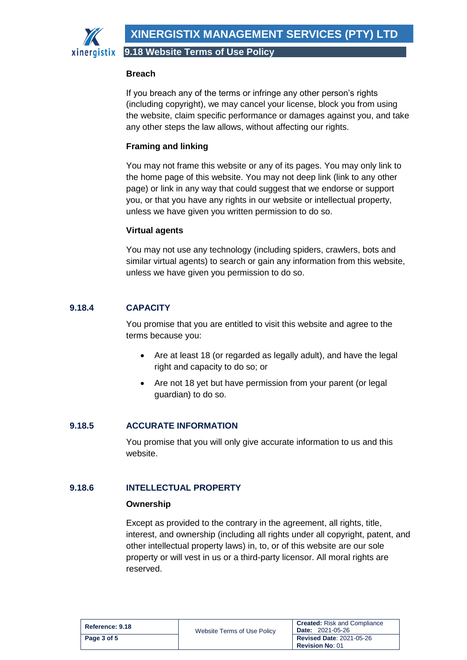xinergistix

**9.18 Website Terms of Use Policy**

### **Breach**

If you breach any of the terms or infringe any other person's rights (including copyright), we may cancel your license, block you from using the website, claim specific performance or damages against you, and take any other steps the law allows, without affecting our rights.

# **Framing and linking**

You may not frame this website or any of its pages. You may only link to the home page of this website. You may not deep link (link to any other page) or link in any way that could suggest that we endorse or support you, or that you have any rights in our website or intellectual property, unless we have given you written permission to do so.

### **Virtual agents**

You may not use any technology (including spiders, crawlers, bots and similar virtual agents) to search or gain any information from this website, unless we have given you permission to do so.

# <span id="page-2-0"></span>**9.18.4 CAPACITY**

You promise that you are entitled to visit this website and agree to the terms because you:

- Are at least 18 (or regarded as legally adult), and have the legal right and capacity to do so; or
- Are not 18 yet but have permission from your parent (or legal guardian) to do so.

# <span id="page-2-1"></span>**9.18.5 ACCURATE INFORMATION**

You promise that you will only give accurate information to us and this website.

# <span id="page-2-2"></span>**9.18.6 INTELLECTUAL PROPERTY**

#### **Ownership**

Except as provided to the contrary in the agreement, all rights, title, interest, and ownership (including all rights under all copyright, patent, and other intellectual property laws) in, to, or of this website are our sole property or will vest in us or a third-party licensor. All moral rights are reserved.

| Reference: 9.18 | Website Terms of Use Policy | <b>Created:</b> Risk and Compliance<br><b>Date: 2021-05-26</b> |
|-----------------|-----------------------------|----------------------------------------------------------------|
| Page 3 of 5     |                             | <b>Revised Date: 2021-05-26</b><br><b>Revision No: 01</b>      |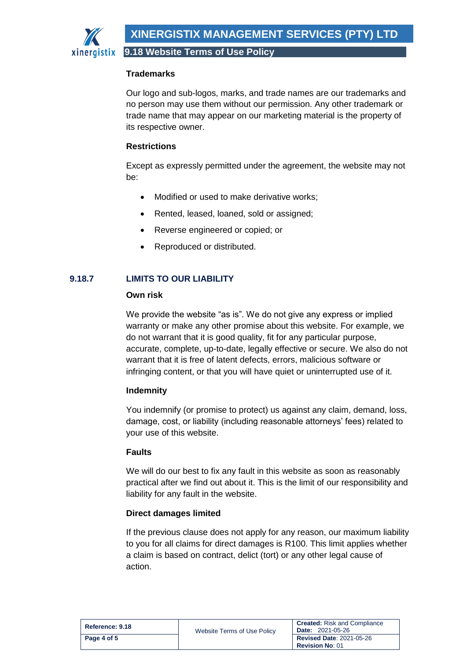## **Trademarks**

Our logo and sub-logos, marks, and trade names are our trademarks and no person may use them without our permission. Any other trademark or trade name that may appear on our marketing material is the property of its respective owner.

# **Restrictions**

Except as expressly permitted under the agreement, the website may not be:

- Modified or used to make derivative works;
- Rented, leased, loaned, sold or assigned;
- Reverse engineered or copied; or
- Reproduced or distributed.

# <span id="page-3-0"></span>**9.18.7 LIMITS TO OUR LIABILITY**

# **Own risk**

We provide the website "as is". We do not give any express or implied warranty or make any other promise about this website. For example, we do not warrant that it is good quality, fit for any particular purpose, accurate, complete, up-to-date, legally effective or secure. We also do not warrant that it is free of latent defects, errors, malicious software or infringing content, or that you will have quiet or uninterrupted use of it.

## **Indemnity**

You indemnify (or promise to protect) us against any claim, demand, loss, damage, cost, or liability (including reasonable attorneys' fees) related to your use of this website.

## **Faults**

We will do our best to fix any fault in this website as soon as reasonably practical after we find out about it. This is the limit of our responsibility and liability for any fault in the website.

## **Direct damages limited**

If the previous clause does not apply for any reason, our maximum liability to you for all claims for direct damages is R100. This limit applies whether a claim is based on contract, delict (tort) or any other legal cause of action.

| Reference: 9.18 | Website Terms of Use Policy | <b>Created:</b> Risk and Compliance<br><b>Date: 2021-05-26</b> |
|-----------------|-----------------------------|----------------------------------------------------------------|
| Page 4 of 5     |                             | <b>Revised Date: 2021-05-26</b><br><b>Revision No: 01</b>      |